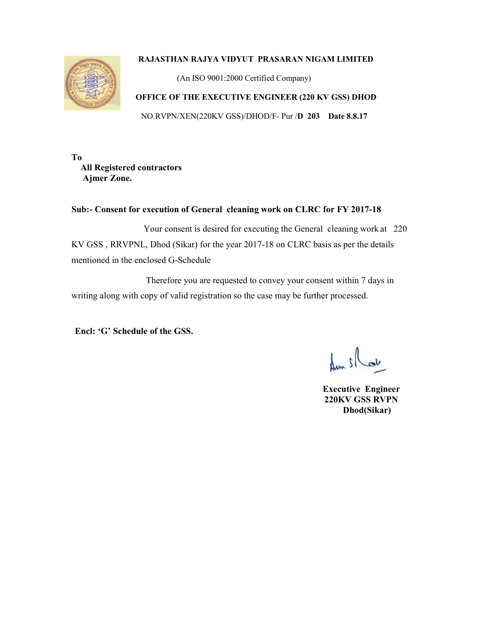## **RAJASTHAN RAJYA VIDYUT PRASARAN NIGAM LIMITED**



(An ISO 9001:2000 Certified Company)

## **OFFICE OF THE EXECUTIVE ENGINEER (220 KV GSS) DHOD**

NO.RVPN/XEN(220KV GSS)/DHOD/F- Pur /**D 203 Date 8.8.17**

**To All Registered contractors Ajmer Zone.** 

## **Sub:- Consent for execution of General cleaning work on CLRC for FY 2017-18**

 Your consent is desired for executing the General cleaning work at 220 KV GSS , RRVPNL, Dhod (Sikar) for the year 2017-18 on CLRC basis as per the details mentioned in the enclosed G-Schedule

 Therefore you are requested to convey your consent within 7 days in writing along with copy of valid registration so the case may be further processed.

**Encl: 'G' Schedule of the GSS.** 

 $1.5$ 

 **Executive Engineer 220KV GSS RVPN Dhod(Sikar)**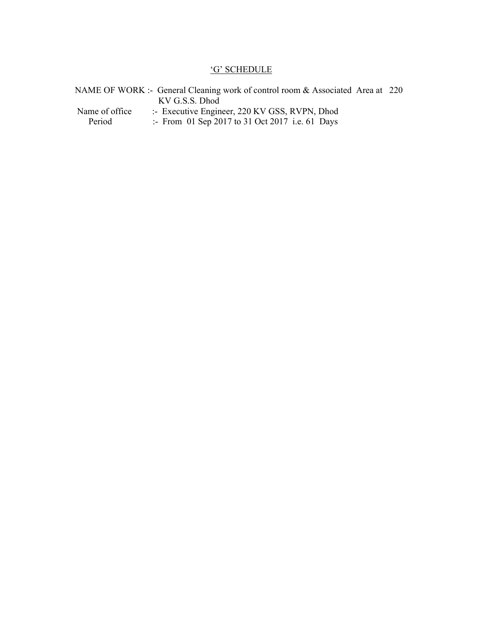## 'G' SCHEDULE

|                | NAME OF WORK :- General Cleaning work of control room & Associated Area at 220 |  |
|----------------|--------------------------------------------------------------------------------|--|
|                | KV G.S.S. Dhod                                                                 |  |
| Name of office | :- Executive Engineer, 220 KV GSS, RVPN, Dhod                                  |  |
| Period         | :- From 01 Sep 2017 to 31 Oct 2017 i.e. 61 Days                                |  |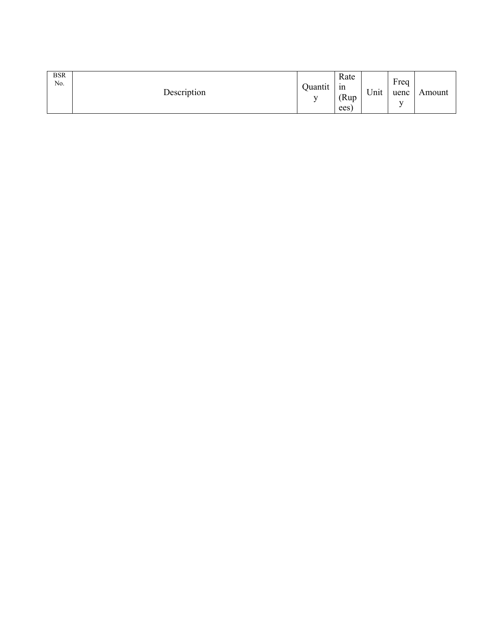| <b>BSR</b><br>No. | Description | Quantit<br>$\mathbf{r}$ | Rate<br>1n<br>(Rup)<br>ees | Unit | Freq<br>uenc<br>$\mathbf{v}$ | Amount |  |
|-------------------|-------------|-------------------------|----------------------------|------|------------------------------|--------|--|
|-------------------|-------------|-------------------------|----------------------------|------|------------------------------|--------|--|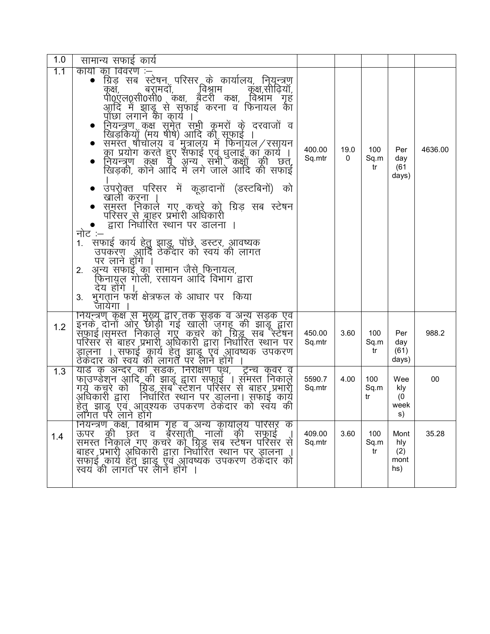| 1.0 | सामान्य सफाई कार्य                                                                                                                                                                                                                                                                                                                                                                                                                                                                                                                                                                                                                                                                                                                            |                  |           |                   |                                   |         |
|-----|-----------------------------------------------------------------------------------------------------------------------------------------------------------------------------------------------------------------------------------------------------------------------------------------------------------------------------------------------------------------------------------------------------------------------------------------------------------------------------------------------------------------------------------------------------------------------------------------------------------------------------------------------------------------------------------------------------------------------------------------------|------------------|-----------|-------------------|-----------------------------------|---------|
| 1.1 | कार्यों का विवरण :–्<br>ग्रिड़ सब स्टेषन परिसर के कार्यालय, नियन्त्रण<br>$\bullet$<br>्विश्राम<br>बरामदो,<br>कुक्ष,सीढ़िया,<br>कुक्ष,<br>पी0एल0्सी0सी0 कक्ष, बेटरी कक्ष, विश्राम गृह<br>आदि में झाडू से सफाई करना व फिनायल की<br>प्रोछा लगाने का कार्य ।<br>नियन्त्रण कक्ष समेत सभी कमरों के दरवाजों व<br>खिड़कियों (मय षीषे) आदि की सूफाई ।<br>स्मस्त षौचालय व मुत्रालय में फिनॉयल / रसायन<br>का प्रयोग करते हुए सफाई एवं धुलाई का कार्य ।<br>नियन्त्रण कक्ष व अन्य सभी कक्षों की छत्,<br>खिड़की, कोने आदि में लगे जाले आदि की सफाई<br>$\bullet$<br>• उपर्गूक्त परिसर में कूड़ादानों (डस्टबिनों) को<br>खाली करना<br>समस्त निकाले गए कचरे को ग्रिड़ सब स्टेषन<br>परिसर से बाहर प्रभारी अधिकारी<br>द्वारा निर्धारित स्थान पर डालना ।<br>नोट :– | 400.00<br>Sq.mtr | 19.0<br>0 | 100<br>Sq.m<br>tr | Per<br>day<br>(61<br>days)        | 4636.00 |
|     | सफाई कार्य हेतु झाड़ू, पोंछे, डस्टर, आवष्यक<br>$1_{\cdot}$<br>उपकरण आर्दि ठेकेंदार को स्वयं की लागत<br>पर लाने होगे ।<br>अून्य सफाइं का सामान जैसे फिनायल,<br>2.<br>फिनायुल गोली, रसायन आदि विभाग द्वारा<br>देय होंगे<br>भुगतान फर्श क्षेत्रफल के आधार पर किया<br>3.<br>जायेगा                                                                                                                                                                                                                                                                                                                                                                                                                                                                |                  |           |                   |                                   |         |
| 1.2 | नियन्त्रण कुक्ष से मुख्यू द्वार तक सूड़क व अन्य सड़के एव<br>इनके दोनों ओर् छोड़ी गई खाली ज़गहू की झाड़ू द्वारा<br>संफाई।समस्त निकाले गएँ कचरे को ग्रिड्रू सब स्टेषन<br>परिसर से बाहर प्रभारी अधिकारी द्वारा निर्धारित स्थान पर<br>डालना । सफाई कार्य हेतु झाडू एवं आवष्यक उपकरण<br>ठेकेदार को स्वयं की लागत पर लाने होंगे ।                                                                                                                                                                                                                                                                                                                                                                                                                   | 450.00<br>Sq.mtr | 3.60      | 100<br>Sq.m<br>tr | Per<br>day<br>(61)<br>days)       | 988.2   |
| 1.3 | याडे के अन्दर की सड़क, निरीक्षण पृथ, ट्रेन्च कूवर व्<br>फा्उण्डेशन आदि की झाडू द्वारा सफाूई । संमस्त निकाले<br>गये कचूरे को ग्रिड सब स्टेशन परिसर से बाहर प्रभारी<br>अधिकारी द्वारा़ निर्धारित स्थान पर डालना। सफाइं कायूं<br>हेत् झाडू एव आवुश्यक उपकरण ठेकेंदार को स्वय की<br>लॉगत परै लाने होगे                                                                                                                                                                                                                                                                                                                                                                                                                                            | 5590.7<br>Sq.mtr | 4.00      | 100<br>Sq.m<br>tr | Wee<br>kly<br>(0)<br>week<br>s)   | $00\,$  |
| 1.4 | नियन्त्रण कक्ष, विश्राम गृह व अन्य कार्यालय परिसर् के<br>बॅरसाती.<br>की<br>नालो<br>छत<br>की<br>ऊपर<br>व<br>सफाई<br>समस्त निकाले गए कुचरे को ग्रिड्रू सब स्टेषन परिसर से<br>बाहर प्रभारी आधिकारी द्वारा निर्धारित स्थान पर ड़ालना ।<br>सफाई कार्य हेतु झाडू एवं आवष्यक उपकरण ठेकेदार को<br>स्वय की लागत पर लानें होंगे ।                                                                                                                                                                                                                                                                                                                                                                                                                       | 409.00<br>Sq.mtr | 3.60      | 100<br>Sq.m<br>tr | Mont<br>hly<br>(2)<br>mont<br>hs) | 35.28   |